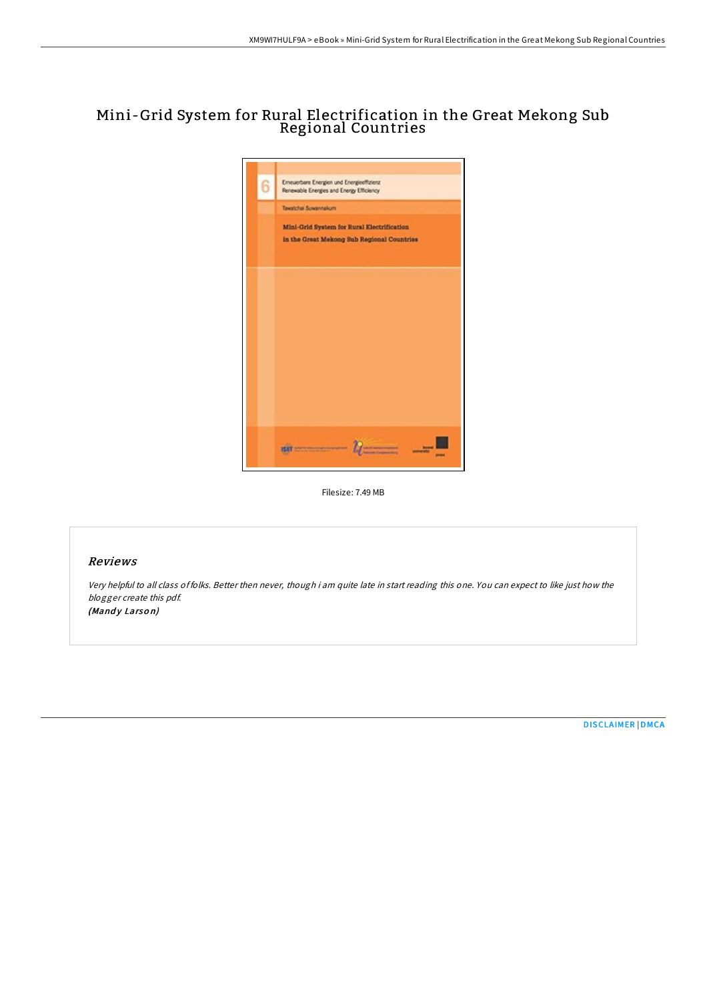# Mini-Grid System for Rural Electrification in the Great Mekong Sub Regional Countries



Filesize: 7.49 MB

## Reviews

Very helpful to all class of folks. Better then never, though i am quite late in start reading this one. You can expect to like just how the blogger create this pdf. (Mandy Larson)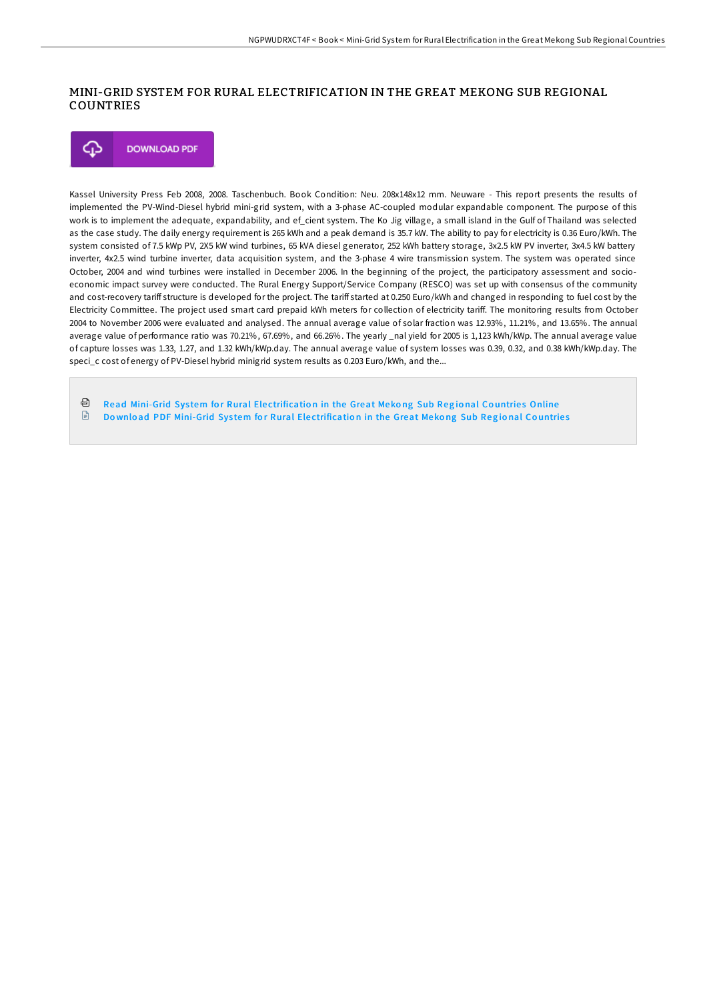#### MINI-GRID SYSTEM FOR RURAL ELECTRIFICATION IN THE GREAT MEKONG SUB REGIONAL COUNTRIES

**DOWNLOAD PDF** Φ

Kassel University Press Feb 2008, 2008. Taschenbuch. Book Condition: Neu. 208x148x12 mm. Neuware - This report presents the results of implemented the PV-Wind-Diesel hybrid mini-grid system, with a 3-phase AC-coupled modular expandable component. The purpose of this work is to implement the adequate, expandability, and ef cient system. The Ko Jig village, a small island in the Gulf of Thailand was selected as the case study. The daily energy requirement is 265 kWh and a peak demand is 35.7 kW. The ability to pay for electricity is 0.36 Euro/kWh. The system consisted of 7.5 kWp PV, 2X5 kW wind turbines, 65 kVA diesel generator, 252 kWh battery storage, 3x2.5 kW PV inverter, 3x4.5 kW battery inverter, 4x2.5 wind turbine inverter, data acquisition system, and the 3-phase 4 wire transmission system. The system was operated since October, 2004 and wind turbines were installed in December 2006. In the beginning of the project, the participatory assessment and socioeconomic impact survey were conducted. The Rural Energy Support/Service Company (RESCO) was set up with consensus of the community and cost-recovery tariff structure is developed for the project. The tariff started at 0.250 Euro/kWh and changed in responding to fuel cost by the Electricity Committee. The project used smart card prepaid kWh meters for collection of electricity tariff. The monitoring results from October 2004 to November 2006 were evaluated and analysed. The annual average value of solar fraction was 12.93%, 11.21%, and 13.65%. The annual average value of performance ratio was 70.21%, 67.69%, and 66.26%. The yearly \_nal yield for 2005 is 1,123 kWh/kWp. The annual average value of capture losses was 1.33, 1.27, and 1.32 kWh/kWp.day. The annual average value of system losses was 0.39, 0.32, and 0.38 kWh/kWp.day. The speci\_c cost of energy of PV-Diesel hybrid minigrid system results as 0.203 Euro/kWh, and the...

ଈ Read Mini-Grid System for Rural Ele[ctrificatio](http://almighty24.tech/mini-grid-system-for-rural-electrification-in-th.html)n in the Great Mekong Sub Regional Countries Online  $\mathbb{R}$ Download PDF Mini-Grid System for Rural Ele[ctrificatio](http://almighty24.tech/mini-grid-system-for-rural-electrification-in-th.html)n in the Great Mekong Sub Regional Countries